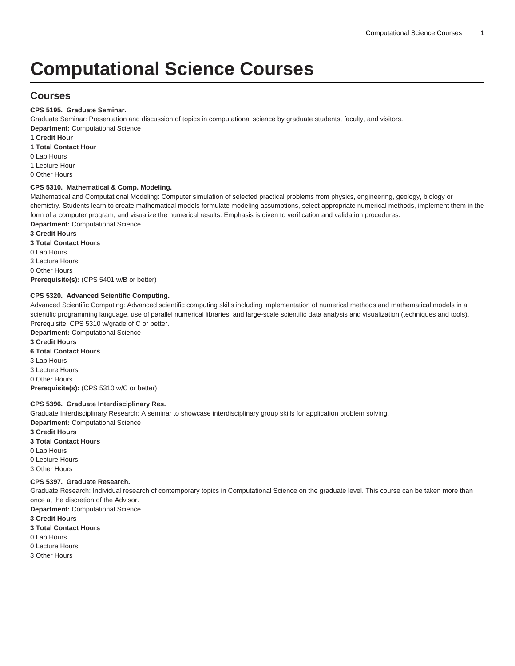# **Computational Science Courses**

# **Courses**

#### **CPS 5195. Graduate Seminar.**

Graduate Seminar: Presentation and discussion of topics in computational science by graduate students, faculty, and visitors. **Department:** Computational Science

**1 Credit Hour**

- **1 Total Contact Hour**
- 0 Lab Hours

1 Lecture Hour

0 Other Hours

#### **CPS 5310. Mathematical & Comp. Modeling.**

Mathematical and Computational Modeling: Computer simulation of selected practical problems from physics, engineering, geology, biology or chemistry. Students learn to create mathematical models formulate modeling assumptions, select appropriate numerical methods, implement them in the form of a computer program, and visualize the numerical results. Emphasis is given to verification and validation procedures. **Department:** Computational Science

**3 Credit Hours**

**3 Total Contact Hours**

0 Lab Hours

3 Lecture Hours

0 Other Hours

**Prerequisite(s):** ([CPS 5401](/search/?P=CPS%205401) w/B or better)

#### **CPS 5320. Advanced Scientific Computing.**

Advanced Scientific Computing: Advanced scientific computing skills including implementation of numerical methods and mathematical models in a scientific programming language, use of parallel numerical libraries, and large-scale scientific data analysis and visualization (techniques and tools). Prerequisite: [CPS 5310](/search/?P=CPS%205310) w/grade of C or better.

**Department:** Computational Science **3 Credit Hours**

## **6 Total Contact Hours**

3 Lab Hours 3 Lecture Hours 0 Other Hours **Prerequisite(s):** ([CPS 5310](/search/?P=CPS%205310) w/C or better)

#### **CPS 5396. Graduate Interdisciplinary Res.**

Graduate Interdisciplinary Research: A seminar to showcase interdisciplinary group skills for application problem solving. **Department:** Computational Science

**3 Credit Hours**

**3 Total Contact Hours** 0 Lab Hours 0 Lecture Hours 3 Other Hours

#### **CPS 5397. Graduate Research.**

Graduate Research: Individual research of contemporary topics in Computational Science on the graduate level. This course can be taken more than once at the discretion of the Advisor.

**Department:** Computational Science **3 Credit Hours**

- **3 Total Contact Hours**
- 0 Lab Hours
- 0 Lecture Hours
- 3 Other Hours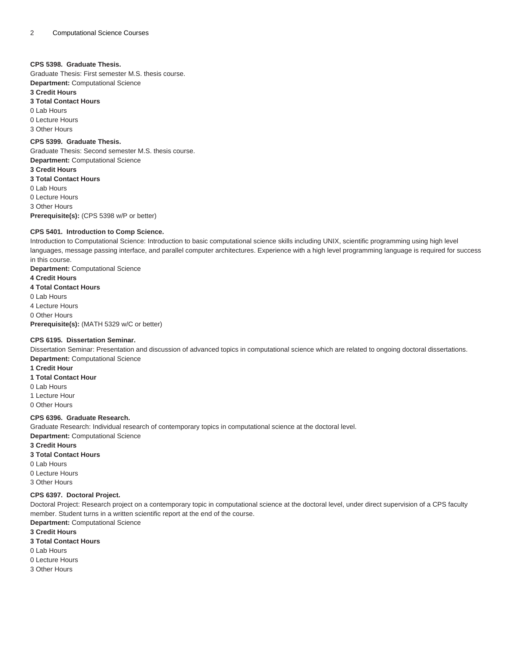#### **CPS 5398. Graduate Thesis.**

Graduate Thesis: First semester M.S. thesis course. **Department:** Computational Science

**3 Credit Hours**

**3 Total Contact Hours** 0 Lab Hours

0 Lecture Hours

3 Other Hours

**CPS 5399. Graduate Thesis.** Graduate Thesis: Second semester M.S. thesis course. **Department:** Computational Science **3 Credit Hours 3 Total Contact Hours** 0 Lab Hours 0 Lecture Hours 3 Other Hours **Prerequisite(s):** ([CPS 5398](/search/?P=CPS%205398) w/P or better)

#### **CPS 5401. Introduction to Comp Science.**

Introduction to Computational Science: Introduction to basic computational science skills including UNIX, scientific programming using high level languages, message passing interface, and parallel computer architectures. Experience with a high level programming language is required for success in this course.

**Department:** Computational Science **4 Credit Hours 4 Total Contact Hours** 0 Lab Hours 4 Lecture Hours 0 Other Hours **Prerequisite(s):** ([MATH 5329](/search/?P=MATH%205329) w/C or better)

## **CPS 6195. Dissertation Seminar.**

Dissertation Seminar: Presentation and discussion of advanced topics in computational science which are related to ongoing doctoral dissertations. **Department:** Computational Science

**1 Credit Hour**

**1 Total Contact Hour**

0 Lab Hours

1 Lecture Hour

0 Other Hours

### **CPS 6396. Graduate Research.**

Graduate Research: Individual research of contemporary topics in computational science at the doctoral level. **Department:** Computational Science

**3 Credit Hours**

**3 Total Contact Hours**

0 Lab Hours

0 Lecture Hours

3 Other Hours

#### **CPS 6397. Doctoral Project.**

Doctoral Project: Research project on a contemporary topic in computational science at the doctoral level, under direct supervision of a CPS faculty member. Student turns in a written scientific report at the end of the course.

**Department:** Computational Science

**3 Credit Hours**

**3 Total Contact Hours**

0 Lab Hours

- 0 Lecture Hours
- 3 Other Hours